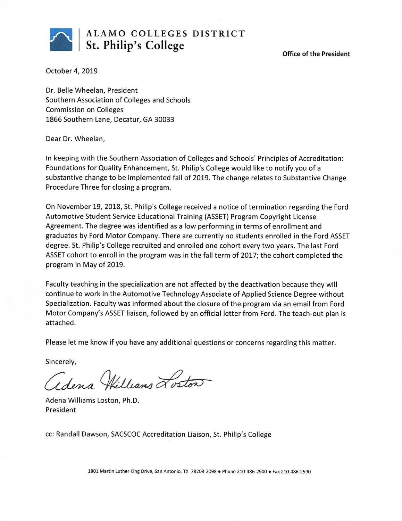

# ALAMO COLLEGES DISTRICT St. Philip's College

**Office of the President** 

October 4, 2019

Dr. Belle Wheelan, President Southern Association of Colleges and Schools **Commission on Colleges** 1866 Southern Lane, Decatur, GA 30033

Dear Dr. Wheelan,

In keeping with the Southern Association of Colleges and Schools' Principles of Accreditation: Foundations for Quality Enhancement, St. Philip's College would like to notify you of a substantive change to be implemented fall of 2019. The change relates to Substantive Change Procedure Three for closing a program.

On November 19, 2018, St. Philip's College received a notice of termination regarding the Ford Automotive Student Service Educational Training (ASSET) Program Copyright License Agreement. The degree was identified as a low performing in terms of enrollment and graduates by Ford Motor Company. There are currently no students enrolled in the Ford ASSET degree. St. Philip's College recruited and enrolled one cohort every two years. The last Ford ASSET cohort to enroll in the program was in the fall term of 2017; the cohort completed the program in May of 2019.

Faculty teaching in the specialization are not affected by the deactivation because they will continue to work in the Automotive Technology Associate of Applied Science Degree without Specialization. Faculty was informed about the closure of the program via an email from Ford Motor Company's ASSET liaison, followed by an official letter from Ford. The teach-out plan is attached.

Please let me know if you have any additional questions or concerns regarding this matter.

Sincerely,

adena Williams Loston

Adena Williams Loston, Ph.D. President

cc: Randall Dawson, SACSCOC Accreditation Liaison, St. Philip's College

1801 Martin Luther King Drive, San Antonio, TX 78203-2098 . Phone 210-486-2900 . Fax 210-486-2590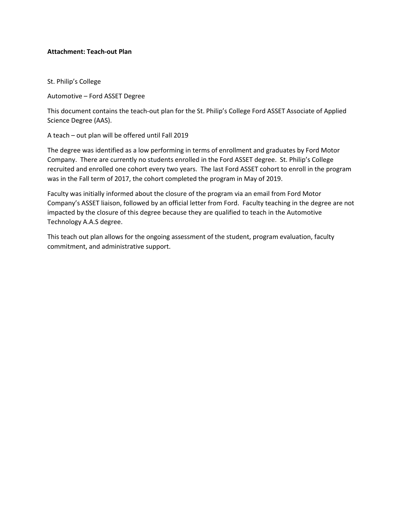# **Attachment: Teach-out Plan**

St. Philip's College

Automotive – Ford ASSET Degree

This document contains the teach-out plan for the St. Philip's College Ford ASSET Associate of Applied Science Degree (AAS).

A teach – out plan will be offered until Fall 2019

The degree was identified as a low performing in terms of enrollment and graduates by Ford Motor Company. There are currently no students enrolled in the Ford ASSET degree. St. Philip's College recruited and enrolled one cohort every two years. The last Ford ASSET cohort to enroll in the program was in the Fall term of 2017, the cohort completed the program in May of 2019.

Faculty was initially informed about the closure of the program via an email from Ford Motor Company's ASSET liaison, followed by an official letter from Ford. Faculty teaching in the degree are not impacted by the closure of this degree because they are qualified to teach in the Automotive Technology A.A.S degree.

This teach out plan allows for the ongoing assessment of the student, program evaluation, faculty commitment, and administrative support.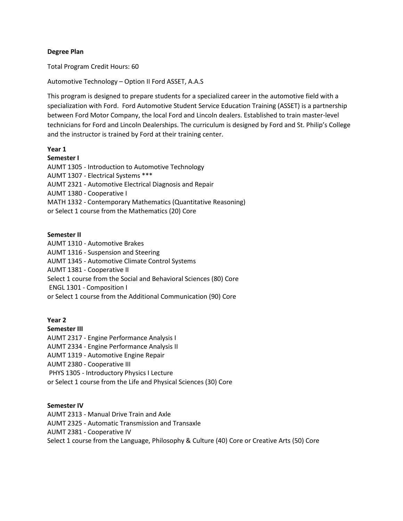## **Degree Plan**

Total Program Credit Hours: 60

Automotive Technology – Option II Ford ASSET, A.A.S

This program is designed to prepare students for a specialized career in the automotive field with a specialization with Ford. Ford Automotive Student Service Education Training (ASSET) is a partnership between Ford Motor Company, the local Ford and Lincoln dealers. Established to train master-level technicians for Ford and Lincoln Dealerships. The curriculum is designed by Ford and St. Philip's College and the instructor is trained by Ford at their training center.

#### **Year 1**

#### **Semester I**

AUMT 1305 - Introduction to Automotive Technology AUMT 1307 - Electrical Systems \*\*\* AUMT 2321 - Automotive Electrical Diagnosis and Repair AUMT 1380 - Cooperative I MATH 1332 - Contemporary Mathematics (Quantitative Reasoning) or Select 1 course from the Mathematics (20) Core

## **Semester II**

AUMT 1310 - Automotive Brakes AUMT 1316 - Suspension and Steering AUMT 1345 - Automotive Climate Control Systems AUMT 1381 - Cooperative II Select 1 course from the Social and Behavioral Sciences (80) Core ENGL 1301 - Composition I or Select 1 course from the Additional Communication (90) Core

## **Year 2**

**Semester III**

- AUMT 2317 Engine Performance Analysis I
- AUMT 2334 Engine Performance Analysis II
- AUMT 1319 Automotive Engine Repair
- AUMT 2380 Cooperative III
- PHYS 1305 Introductory Physics I Lecture
- or Select 1 course from the Life and Physical Sciences (30) Core

#### **Semester IV**

- AUMT 2313 Manual Drive Train and Axle
- AUMT 2325 Automatic Transmission and Transaxle
- AUMT 2381 Cooperative IV
- Select 1 course from the Language, Philosophy & Culture (40) Core or Creative Arts (50) Core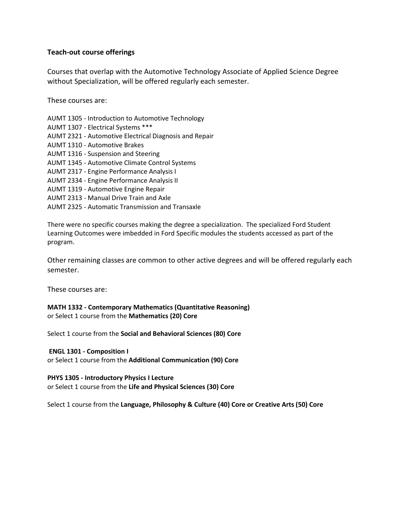# **Teach-out course offerings**

Courses that overlap with the Automotive Technology Associate of Applied Science Degree without Specialization, will be offered regularly each semester.

These courses are:

- AUMT 1305 Introduction to Automotive Technology
- AUMT 1307 Electrical Systems \*\*\*
- AUMT 2321 Automotive Electrical Diagnosis and Repair
- AUMT 1310 Automotive Brakes
- AUMT 1316 Suspension and Steering
- AUMT 1345 Automotive Climate Control Systems
- AUMT 2317 Engine Performance Analysis I
- AUMT 2334 Engine Performance Analysis II
- AUMT 1319 Automotive Engine Repair
- AUMT 2313 Manual Drive Train and Axle
- AUMT 2325 Automatic Transmission and Transaxle

There were no specific courses making the degree a specialization. The specialized Ford Student Learning Outcomes were imbedded in Ford Specific modules the students accessed as part of the program.

Other remaining classes are common to other active degrees and will be offered regularly each semester.

These courses are:

**MATH 1332 - Contemporary Mathematics (Quantitative Reasoning)** or Select 1 course from the **Mathematics (20) Core**

Select 1 course from the **Social and Behavioral Sciences (80) Core** 

# **ENGL 1301 - Composition I**

or Select 1 course from the **Additional Communication (90) Core** 

# **PHYS 1305 - Introductory Physics I Lecture**

or Select 1 course from the **Life and Physical Sciences (30) Core** 

Select 1 course from the **Language, Philosophy & Culture (40) Core or Creative Arts (50) Core**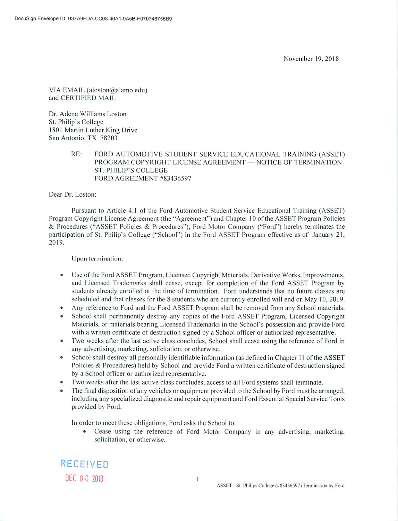VIA EMAIL (aloston@alamo.edu) and CERTIFIED MAIL

Dr. Adena Williams Loston St. Philip's College 1801 Martin Luther King Drive San Antonio, TX 78203

> $RE:$ FORD AUTOMOTIVE STUDENT SERVICE EDUCATIONAL TRAINING (ASSET) PROGRAM COPYRIGHT LICENSE AGREEMENT — NOTICE OF TERMINATION **ST. PHILIP'S COLLEGE** FORD AGREEMENT #83436597

Dear Dr. Loston:

Pursuant to Article 4.1 of the Ford Automotive Student Service Educational Training (ASSET) Program Copyright License Agreement (the "Agreement") and Chapter 10 of the ASSET Program Policies & Procedures ("ASSET Policies & Procedures"), Ford Motor Company ("Ford") hereby terminates the participation of St. Philip's College ("School") in the Ford ASSET Program effective as of January 21, 2019.

Upon termination:

- Use of the Ford ASSET Program, Licensed Copyright Materials, Derivative Works, Improvements,  $\bullet$ and Licensed Trademarks shall cease, except for completion of the Ford ASSET Program by students already enrolled at the time of termination. Ford understands that no future classes are scheduled and that classes for the 8 students who are currently enrolled will end on May 10, 2019.
- Any reference to Ford and the Ford ASSET Program shall be removed from any School materials.
- School shall permanently destroy any copies of the Ford ASSET Program, Licensed Copyright  $\bullet$ Materials, or materials bearing Licensed Trademarks in the School's possession and provide Ford with a written certificate of destruction signed by a School officer or authorized representative.
- Two weeks after the last active class concludes, School shall cease using the reference of Ford in  $\bullet$ any advertising, marketing, solicitation, or otherwise.
- School shall destrov all personally identifiable information (as defined in Chapter 11 of the ASSET  $\bullet$ Policies & Procedures) held by School and provide Ford a written certificate of destruction signed by a School officer or authorized representative.
- Two weeks after the last active class concludes, access to all Ford systems shall terminate.
- The final disposition of any vehicles or equipment provided to the School by Ford must be arranged, including any specialized diagnostic and repair equipment and Ford Essential Special Service Tools provided by Ford.

In order to meet these obligations, Ford asks the School to:

Cease using the reference of Ford Motor Company in any advertising, marketing, solicitation, or otherwise.



 $\overline{1}$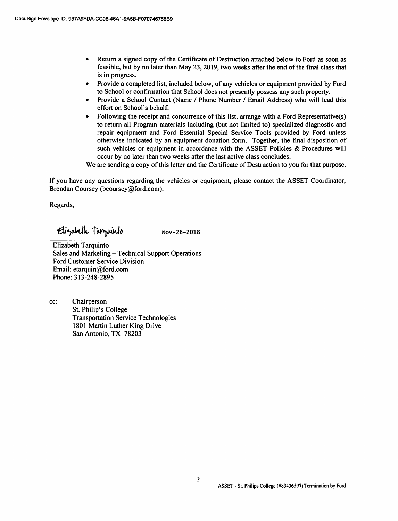- Return a signed copy of the Certificate of Destruction attached below to Ford as soon as feasible, but by no later than May 23, 2019, two weeks after the end of the final class that is in progress.
- Provide a completed list, included below, of any vehicles or equipment provided by Ford to School or confirmation that School does not presently possess any such property.
- Provide a School Contact (Name / Phone Number / Email Address) who will lead this effort on School's behalf.
- Following the receipt and concurrence of this list, arrange with a Ford Representative(s) to return all Program materials including (but not limited to) specialized diagnostic and repair equipment and Ford Essential Special Service Tools provided by Ford unless otherwise indicated by an equipment donation form. Together, the final disposition of such vehicles or equipment in accordance with the ASSET Policies & Procedures will occur by no later than two weeks after the last active class concludes.

We are sending a copy of this letter and the Certificate of Destruction to you for that purpose.

If you have any questions regarding the vehicles or equipment, please contact the ASSET Coordinator, Brendan Coursey (bcoursey@ford.com).

Regards,

Elizabeth Targuinto

Nov-26-2018

**Elizabeth Tarquinto** Sales and Marketing - Technical Support Operations **Ford Customer Service Division** Email: etarquin@ford.com Phone: 313-248-2895

cc: Chairperson St. Philip's College **Transportation Service Technologies** 1801 Martin Luther King Drive San Antonio. TX 78203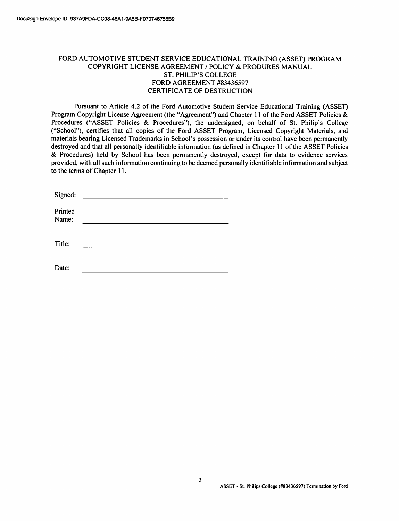# FORD AUTOMOTIVE STUDENT SERVICE EDUCATIONAL TRAINING (ASSET) PROGRAM COPYRIGHT LICENSE AGREEMENT / POLICY & PRODURES MANUAL **ST. PHILIP'S COLLEGE** FORD AGREEMENT #83436597 **CERTIFICATE OF DESTRUCTION**

Pursuant to Article 4.2 of the Ford Automotive Student Service Educational Training (ASSET) Program Copyright License Agreement (the "Agreement") and Chapter 11 of the Ford ASSET Policies & Procedures ("ASSET Policies & Procedures"), the undersigned, on behalf of St. Philip's College ("School"), certifies that all copies of the Ford ASSET Program, Licensed Copyright Materials, and materials bearing Licensed Trademarks in School's possession or under its control have been permanently destroyed and that all personally identifiable information (as defined in Chapter 11 of the ASSET Policies & Procedures) held by School has been permanently destroved, except for data to evidence services provided, with all such information continuing to be deemed personally identifiable information and subject to the terms of Chapter 11.

| Signed:          |  |
|------------------|--|
| Printed<br>Name: |  |
|                  |  |
| Title:           |  |
|                  |  |
| Date:            |  |